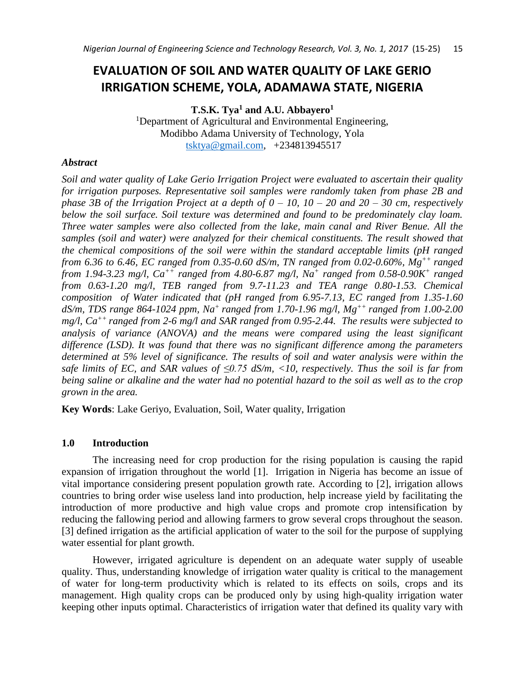# **EVALUATION OF SOIL AND WATER QUALITY OF LAKE GERIO IRRIGATION SCHEME, YOLA, ADAMAWA STATE, NIGERIA**

**T.S.K. Tya<sup>1</sup> and A.U. Abbayero<sup>1</sup>**

<sup>1</sup>Department of Agricultural and Environmental Engineering, Modibbo Adama University of Technology, Yola [tsktya@gmail.com,](mailto:tsktya@gmail.com) +234813945517

### *Abstract*

*Soil and water quality of Lake Gerio Irrigation Project were evaluated to ascertain their quality for irrigation purposes. Representative soil samples were randomly taken from phase 2B and phase 3B of the Irrigation Project at a depth of 0 – 10, 10 – 20 and 20 – 30 cm, respectively below the soil surface. Soil texture was determined and found to be predominately clay loam. Three water samples were also collected from the lake, main canal and River Benue. All the samples (soil and water) were analyzed for their chemical constituents. The result showed that the chemical compositions of the soil were within the standard acceptable limits (pH ranged from 6.36 to 6.46, EC ranged from 0.35-0.60 dS/m, TN ranged from 0.02-0.60%, Mg++ ranged from 1.94-3.23 mg/l, Ca++ ranged from 4.80-6.87 mg/l, Na<sup>+</sup> ranged from 0.58-0.90K<sup>+</sup> ranged from 0.63-1.20 mg/l, TEB ranged from 9.7-11.23 and TEA range 0.80-1.53. Chemical composition of Water indicated that (pH ranged from 6.95-7.13, EC ranged from 1.35-1.60 dS/m, TDS range 864-1024 ppm, Na<sup>+</sup>ranged from 1.70-1.96 mg/l, Mg++ ranged from 1.00-2.00 mg/l, Ca++ ranged from 2-6 mg/l and SAR ranged from 0.95-2.44. The results were subjected to analysis of variance (ANOVA) and the means were compared using the least significant difference (LSD). It was found that there was no significant difference among the parameters determined at 5% level of significance. The results of soil and water analysis were within the safe limits of EC, and SAR values of ≤0.75 dS/m, <10, respectively. Thus the soil is far from being saline or alkaline and the water had no potential hazard to the soil as well as to the crop grown in the area.*

**Key Words**: Lake Geriyo, Evaluation, Soil, Water quality, Irrigation

# **1.0 Introduction**

The increasing need for crop production for the rising population is causing the rapid expansion of irrigation throughout the world [1]. Irrigation in Nigeria has become an issue of vital importance considering present population growth rate. According to [2], irrigation allows countries to bring order wise useless land into production, help increase yield by facilitating the introduction of more productive and high value crops and promote crop intensification by reducing the fallowing period and allowing farmers to grow several crops throughout the season. [3] defined irrigation as the artificial application of water to the soil for the purpose of supplying water essential for plant growth.

However, irrigated agriculture is dependent on an adequate water supply of useable quality. Thus, understanding knowledge of irrigation water quality is critical to the management of water for long-term productivity which is related to its effects on soils, crops and its management. High quality crops can be produced only by using high-quality irrigation water keeping other inputs optimal. Characteristics of irrigation water that defined its quality vary with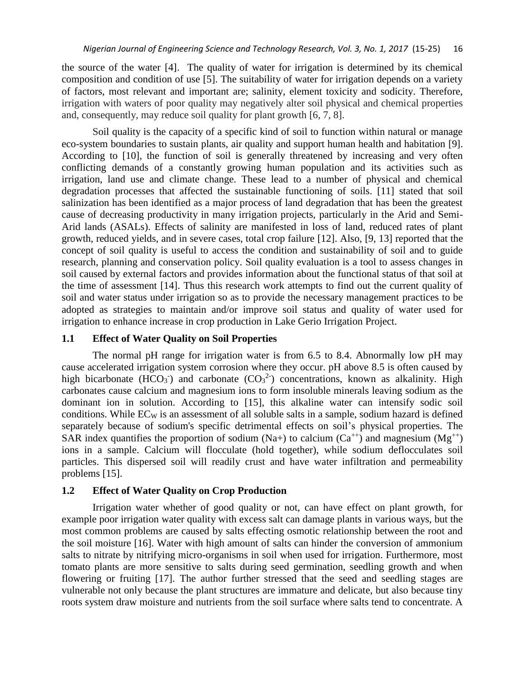the source of the water [4]. The quality of water for irrigation is determined by its chemical composition and condition of use [5]. The suitability of water for irrigation depends on a variety of factors, most relevant and important are; salinity, element toxicity and sodicity. Therefore, irrigation with waters of poor quality may negatively alter soil physical and chemical properties and, consequently, may reduce soil quality for plant growth [6, 7, 8].

Soil quality is the capacity of a specific kind of soil to function within natural or manage eco-system boundaries to sustain plants, air quality and support human health and habitation [9]. According to [10], the function of soil is generally threatened by increasing and very often conflicting demands of a constantly growing human population and its activities such as irrigation, land use and climate change. These lead to a number of physical and chemical degradation processes that affected the sustainable functioning of soils. [11] stated that soil salinization has been identified as a major process of land degradation that has been the greatest cause of decreasing productivity in many irrigation projects, particularly in the Arid and Semi-Arid lands (ASALs). Effects of salinity are manifested in loss of land, reduced rates of plant growth, reduced yields, and in severe cases, total crop failure [12]. Also, [9, 13] reported that the concept of soil quality is useful to access the condition and sustainability of soil and to guide research, planning and conservation policy. Soil quality evaluation is a tool to assess changes in soil caused by external factors and provides information about the functional status of that soil at the time of assessment [14]. Thus this research work attempts to find out the current quality of soil and water status under irrigation so as to provide the necessary management practices to be adopted as strategies to maintain and/or improve soil status and quality of water used for irrigation to enhance increase in crop production in Lake Gerio Irrigation Project.

### **1.1 Effect of Water Quality on Soil Properties**

The normal pH range for irrigation water is from 6.5 to 8.4. Abnormally low pH may cause accelerated irrigation system corrosion where they occur. pH above 8.5 is often caused by high bicarbonate (HCO<sub>3</sub><sup>-</sup>) and carbonate (CO<sub>3</sub><sup>2</sup><sup>-</sup>) concentrations, known as alkalinity. High carbonates cause calcium and magnesium ions to form insoluble minerals leaving sodium as the dominant ion in solution. According to [15], this alkaline water can intensify sodic soil conditions. While  $EC_W$  is an assessment of all soluble salts in a sample, sodium hazard is defined separately because of sodium's specific detrimental effects on soil's physical properties. The SAR index quantifies the proportion of sodium (Na+) to calcium (Ca<sup>++</sup>) and magnesium (Mg<sup>++</sup>) ions in a sample. Calcium will flocculate (hold together), while sodium deflocculates soil particles. This dispersed soil will readily crust and have water infiltration and permeability problems [15].

# **1.2 Effect of Water Quality on Crop Production**

Irrigation water whether of good quality or not, can have effect on plant growth, for example poor irrigation water quality with excess salt can damage plants in various ways, but the most common problems are caused by salts effecting osmotic relationship between the root and the soil moisture [16]. Water with high amount of salts can hinder the conversion of ammonium salts to nitrate by nitrifying micro-organisms in soil when used for irrigation. Furthermore, most tomato plants are more sensitive to salts during seed germination, seedling growth and when flowering or fruiting [17]. The author further stressed that the seed and seedling stages are vulnerable not only because the plant structures are immature and delicate, but also because tiny roots system draw moisture and nutrients from the soil surface where salts tend to concentrate. A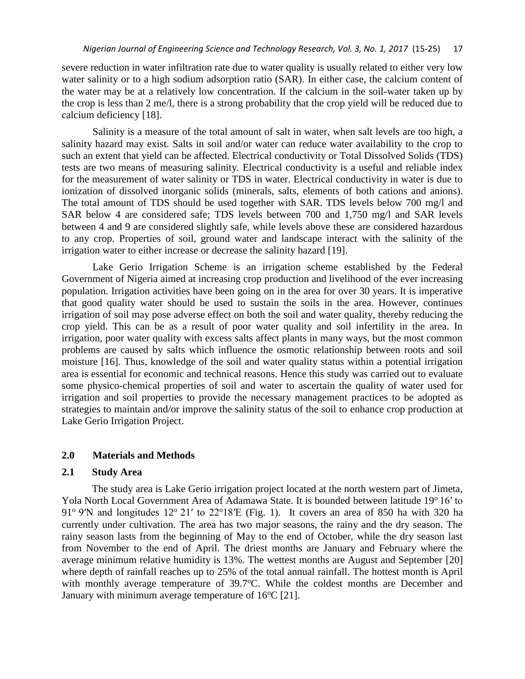severe reduction in water infiltration rate due to water quality is usually related to either very low water salinity or to a high sodium adsorption ratio (SAR). In either case, the calcium content of the water may be at a relatively low concentration. If the calcium in the soil-water taken up by the crop is less than 2 me/l, there is a strong probability that the crop yield will be reduced due to calcium deficiency [18].

Salinity is a measure of the total amount of salt in water, when salt levels are too high, a salinity hazard may exist. Salts in soil and/or water can reduce water availability to the crop to such an extent that yield can be affected. Electrical conductivity or Total Dissolved Solids (TDS) tests are two means of measuring salinity. Electrical conductivity is a useful and reliable index for the measurement of water salinity or TDS in water. Electrical conductivity in water is due to ionization of dissolved inorganic solids (minerals, salts, elements of both cations and anions). The total amount of TDS should be used together with SAR. TDS levels below 700 mg/l and SAR below 4 are considered safe; TDS levels between 700 and 1,750 mg/l and SAR levels between 4 and 9 are considered slightly safe, while levels above these are considered hazardous to any crop. Properties of soil, ground water and landscape interact with the salinity of the irrigation water to either increase or decrease the salinity hazard [19].

Lake Gerio Irrigation Scheme is an irrigation scheme established by the Federal Government of Nigeria aimed at increasing crop production and livelihood of the ever increasing population. Irrigation activities have been going on in the area for over 30 years. It is imperative that good quality water should be used to sustain the soils in the area. However, continues irrigation of soil may pose adverse effect on both the soil and water quality, thereby reducing the crop yield. This can be as a result of poor water quality and soil infertility in the area. In irrigation, poor water quality with excess salts affect plants in many ways, but the most common problems are caused by salts which influence the osmotic relationship between roots and soil moisture [16]. Thus, knowledge of the soil and water quality status within a potential irrigation area is essential for economic and technical reasons. Hence this study was carried out to evaluate some physico-chemical properties of soil and water to ascertain the quality of water used for irrigation and soil properties to provide the necessary management practices to be adopted as strategies to maintain and/or improve the salinity status of the soil to enhance crop production at Lake Gerio Irrigation Project.

### **2.0 Materials and Methods**

#### **2.1 Study Area**

The study area is Lake Gerio irrigation project located at the north western part of Jimeta, Yola North Local Government Area of Adamawa State. It is bounded between latitude 19°16' to 91° 9'N and longitudes 12° 21' to 22°18'E (Fig. 1). It covers an area of 850 ha with 320 ha currently under cultivation. The area has two major seasons, the rainy and the dry season. The rainy season lasts from the beginning of May to the end of October, while the dry season last from November to the end of April. The driest months are January and February where the average minimum relative humidity is 13%. The wettest months are August and September [20] where depth of rainfall reaches up to 25% of the total annual rainfall. The hottest month is April with monthly average temperature of 39.7°C. While the coldest months are December and January with minimum average temperature of  $16^{\circ}C$  [21].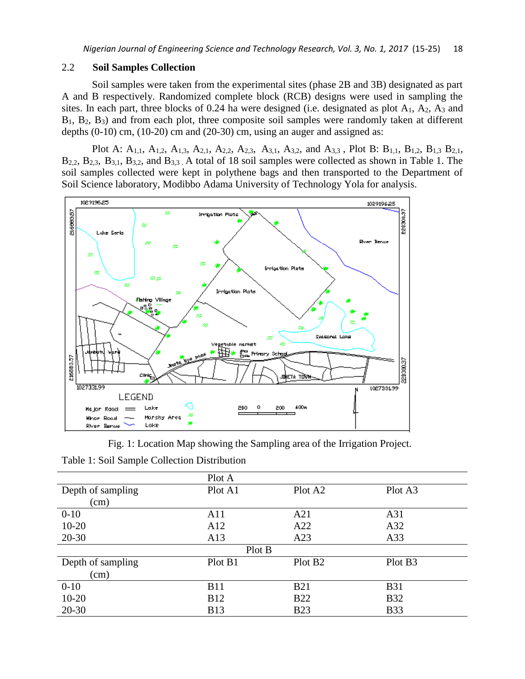### 2.2 **Soil Samples Collection**

Soil samples were taken from the experimental sites (phase 2B and 3B) designated as part A and B respectively. Randomized complete block (RCB) designs were used in sampling the sites. In each part, three blocks of 0.24 ha were designed (i.e. designated as plot  $A_1$ ,  $A_2$ ,  $A_3$  and B<sub>1</sub>, B<sub>2</sub>, B<sub>3</sub>) and from each plot, three composite soil samples were randomly taken at different depths  $(0-10)$  cm,  $(10-20)$  cm and  $(20-30)$  cm, using an auger and assigned as:

Plot A: A1,1, A1,2, A1,3, A2,1, A2,2, A2,3, A3,1, A3,2, and A3,3 , Plot B: B1,1, B1,2, B1,3 B2,1, B2,2, B2,3, B3,1, B3,2, and B3,3 . A total of 18 soil samples were collected as shown in Table 1. The soil samples collected were kept in polythene bags and then transported to the Department of Soil Science laboratory, Modibbo Adama University of Technology Yola for analysis.



Fig. 1: Location Map showing the Sampling area of the Irrigation Project.

| Table 1: Soil Sample Collection Distribution |  |  |  |  |  |  |  |  |
|----------------------------------------------|--|--|--|--|--|--|--|--|
|----------------------------------------------|--|--|--|--|--|--|--|--|

|                   | Plot A     |                     |                     |  |  |  |  |  |  |
|-------------------|------------|---------------------|---------------------|--|--|--|--|--|--|
| Depth of sampling | Plot A1    | Plot A <sub>2</sub> | Plot A3             |  |  |  |  |  |  |
| (cm)              |            |                     |                     |  |  |  |  |  |  |
| $0 - 10$          | A11        | A21                 | A31                 |  |  |  |  |  |  |
| $10 - 20$         | A12        | A22                 | A32                 |  |  |  |  |  |  |
| $20-30$           | A13        | A23                 | A33                 |  |  |  |  |  |  |
| Plot B            |            |                     |                     |  |  |  |  |  |  |
| Depth of sampling | Plot B1    | Plot B <sub>2</sub> | Plot B <sub>3</sub> |  |  |  |  |  |  |
| (cm)              |            |                     |                     |  |  |  |  |  |  |
| $0-10$            | <b>B11</b> | <b>B21</b>          | <b>B31</b>          |  |  |  |  |  |  |
| $10 - 20$         | <b>B12</b> | <b>B22</b>          | <b>B32</b>          |  |  |  |  |  |  |
| $20 - 30$         | <b>B13</b> | <b>B23</b>          | <b>B33</b>          |  |  |  |  |  |  |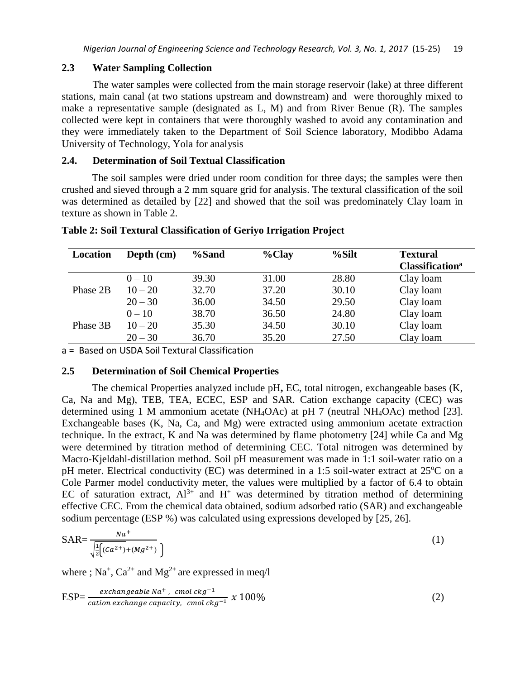### **2.3 Water Sampling Collection**

The water samples were collected from the main storage reservoir (lake) at three different stations, main canal (at two stations upstream and downstream) and were thoroughly mixed to make a representative sample (designated as L, M) and from River Benue (R). The samples collected were kept in containers that were thoroughly washed to avoid any contamination and they were immediately taken to the Department of Soil Science laboratory, Modibbo Adama University of Technology, Yola for analysis

# **2.4. Determination of Soil Textual Classification**

The soil samples were dried under room condition for three days; the samples were then crushed and sieved through a 2 mm square grid for analysis. The textural classification of the soil was determined as detailed by [22] and showed that the soil was predominately Clay loam in texture as shown in Table 2.

| Depth (cm) | %Sand | $%$ Clay | %Silt | <b>Textural</b><br><b>Classification</b> <sup>a</sup> |
|------------|-------|----------|-------|-------------------------------------------------------|
| $0 - 10$   | 39.30 | 31.00    | 28.80 | Clay loam                                             |
| $10 - 20$  | 32.70 | 37.20    | 30.10 | Clay loam                                             |
| $20 - 30$  | 36.00 | 34.50    | 29.50 | Clay loam                                             |
| $0 - 10$   | 38.70 | 36.50    | 24.80 | Clay loam                                             |
| $10 - 20$  | 35.30 | 34.50    | 30.10 | Clay loam                                             |
| $20 - 30$  | 36.70 | 35.20    | 27.50 | Clay loam                                             |
|            |       |          |       |                                                       |

**Table 2: Soil Textural Classification of Geriyo Irrigation Project**

a = Based on USDA Soil Textural Classification

### **2.5 Determination of Soil Chemical Properties**

The chemical Properties analyzed include pH**,** EC, total nitrogen, exchangeable bases (K, Ca, Na and Mg), TEB, TEA, ECEC, ESP and SAR. Cation exchange capacity (CEC) was determined using 1 M ammonium acetate (NH4OAc) at pH 7 (neutral NH4OAc) method [23]. Exchangeable bases (K, Na, Ca, and Mg) were extracted using ammonium acetate extraction technique. In the extract, K and Na was determined by flame photometry [24] while Ca and Mg were determined by titration method of determining CEC. Total nitrogen was determined by Macro-Kjeldahl-distillation method. Soil pH measurement was made in 1:1 soil-water ratio on a pH meter. Electrical conductivity (EC) was determined in a 1:5 soil-water extract at  $25^{\circ}$ C on a Cole Parmer model conductivity meter, the values were multiplied by a factor of 6.4 to obtain EC of saturation extract,  $Al^{3+}$  and  $H^+$  was determined by titration method of determining effective CEC. From the chemical data obtained, sodium adsorbed ratio (SAR) and exchangeable sodium percentage (ESP %) was calculated using expressions developed by [25, 26].

$$
SAR = \frac{Na^{+}}{\sqrt{\frac{1}{2} \left( (Ca^{2+}) + (Mg^{2+}) \right) }} \tag{1}
$$

where ;  $Na^{+}$ ,  $Ca^{2+}$  and  $Mg^{2+}$  are expressed in meq/l

$$
ESP = \frac{exchangeable Na^{+},\quad cmol\,ckg^{-1}}{cation\,exchange\,capickg^{-1}},\quad x\,100\%
$$
\n
$$
(2)
$$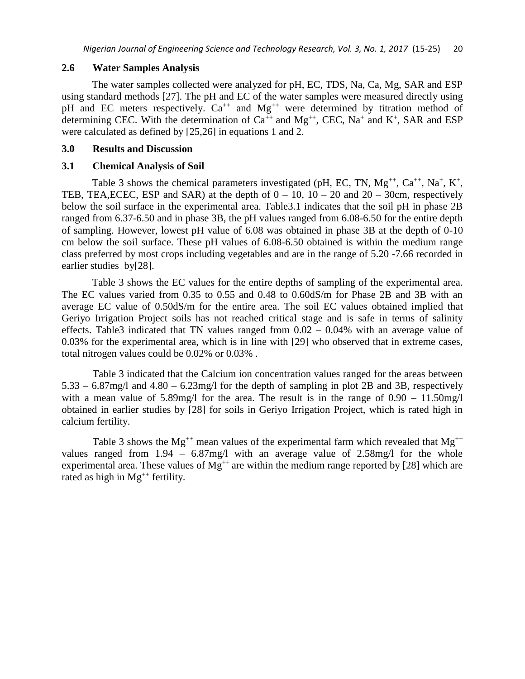### **2.6 Water Samples Analysis**

The water samples collected were analyzed for pH, EC, TDS, Na, Ca, Mg, SAR and ESP using standard methods [27]. The pH and EC of the water samples were measured directly using pH and EC meters respectively.  $Ca^{++}$  and  $Mg^{++}$  were determined by titration method of determining CEC. With the determination of  $Ca^{++}$  and  $Mg^{++}$ , CEC, Na<sup>+</sup> and K<sup>+</sup>, SAR and ESP were calculated as defined by [25,26] in equations 1 and 2.

### **3.0 Results and Discussion**

#### **3.1 Chemical Analysis of Soil**

Table 3 shows the chemical parameters investigated (pH, EC, TN,  $Mg^{++}$ ,  $Ca^{++}$ ,  $Na^+$ ,  $K^+$ , TEB, TEA, ECEC, ESP and SAR) at the depth of  $0 - 10$ ,  $10 - 20$  and  $20 - 30$ cm, respectively below the soil surface in the experimental area. Table3.1 indicates that the soil pH in phase 2B ranged from 6.37-6.50 and in phase 3B, the pH values ranged from 6.08-6.50 for the entire depth of sampling. However, lowest pH value of 6.08 was obtained in phase 3B at the depth of 0-10 cm below the soil surface. These pH values of 6.08-6.50 obtained is within the medium range class preferred by most crops including vegetables and are in the range of 5.20 -7.66 recorded in earlier studies by[28].

Table 3 shows the EC values for the entire depths of sampling of the experimental area. The EC values varied from 0.35 to 0.55 and 0.48 to 0.60dS/m for Phase 2B and 3B with an average EC value of 0.50dS/m for the entire area. The soil EC values obtained implied that Geriyo Irrigation Project soils has not reached critical stage and is safe in terms of salinity effects. Table3 indicated that TN values ranged from  $0.02 - 0.04\%$  with an average value of 0.03% for the experimental area, which is in line with [29] who observed that in extreme cases, total nitrogen values could be 0.02% or 0.03% .

Table 3 indicated that the Calcium ion concentration values ranged for the areas between 5.33 – 6.87mg/l and 4.80 – 6.23mg/l for the depth of sampling in plot 2B and 3B, respectively with a mean value of  $5.89$ mg/l for the area. The result is in the range of  $0.90 - 11.50$ mg/l obtained in earlier studies by [28] for soils in Geriyo Irrigation Project, which is rated high in calcium fertility.

Table 3 shows the Mg<sup>++</sup> mean values of the experimental farm which revealed that Mg<sup>++</sup> values ranged from 1.94 – 6.87mg/l with an average value of 2.58mg/l for the whole experimental area. These values of  $Mg^{++}$  are within the medium range reported by [28] which are rated as high in  $Mg^{++}$  fertility.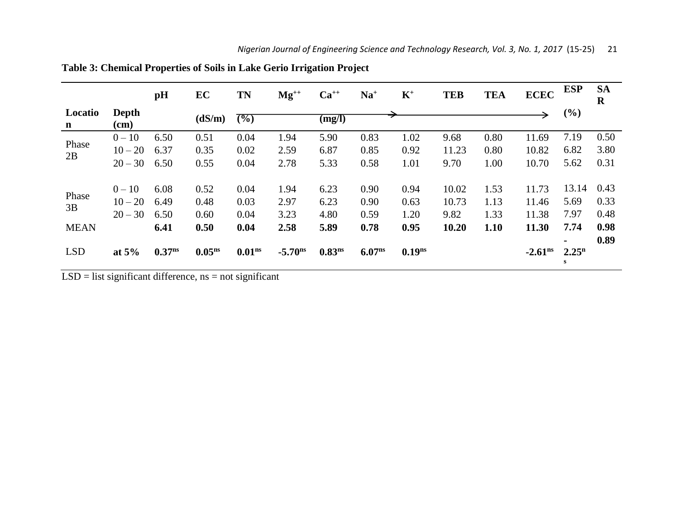|                        |                 | pH          | EC                 | <b>TN</b>          | $Mg^{++}$           | $Ca^{++}$          | $Na+$              | $K^+$     | <b>TEB</b> | <b>TEA</b> | <b>ECEC</b> | <b>ESP</b>              | <b>SA</b><br>$\mathbf R$ |
|------------------------|-----------------|-------------|--------------------|--------------------|---------------------|--------------------|--------------------|-----------|------------|------------|-------------|-------------------------|--------------------------|
| Locatio<br>$\mathbf n$ | Depth<br>$(cm)$ |             | (dS/m)             | $(\%)$             |                     | (mg/l)             |                    |           |            |            |             | (%)                     |                          |
|                        | $0 - 10$        | 6.50        | 0.51               | 0.04               | 1.94                | 5.90               | 0.83               | 1.02      | 9.68       | 0.80       | 11.69       | 7.19                    | 0.50                     |
| Phase                  | $10 - 20$       | 6.37        | 0.35               | 0.02               | 2.59                | 6.87               | 0.85               | 0.92      | 11.23      | 0.80       | 10.82       | 6.82                    | 3.80                     |
| 2B                     | $20 - 30$       | 6.50        | 0.55               | 0.04               | 2.78                | 5.33               | 0.58               | 1.01      | 9.70       | 1.00       | 10.70       | 5.62                    | 0.31                     |
|                        |                 |             |                    |                    |                     |                    |                    |           |            |            |             |                         |                          |
| Phase                  | $0 - 10$        | 6.08        | 0.52               | 0.04               | 1.94                | 6.23               | 0.90               | 0.94      | 10.02      | 1.53       | 11.73       | 13.14                   | 0.43                     |
| 3B                     | $10 - 20$       | 6.49        | 0.48               | 0.03               | 2.97                | 6.23               | 0.90               | 0.63      | 10.73      | 1.13       | 11.46       | 5.69                    | 0.33                     |
|                        | $20 - 30$       | 6.50        | 0.60               | 0.04               | 3.23                | 4.80               | 0.59               | 1.20      | 9.82       | 1.33       | 11.38       | 7.97                    | 0.48                     |
| <b>MEAN</b>            |                 | 6.41        | 0.50               | 0.04               | 2.58                | 5.89               | 0.78               | 0.95      | 10.20      | 1.10       | 11.30       | 7.74                    | 0.98                     |
|                        |                 |             |                    |                    |                     |                    |                    |           |            |            |             | $\blacksquare$          | 0.89                     |
| <b>LSD</b>             | at $5\%$        | $0.37^{ns}$ | 0.05 <sup>ns</sup> | 0.01 <sup>ns</sup> | $-5.70^{\text{ns}}$ | 0.83 <sup>ns</sup> | 6.07 <sub>ns</sub> | $0.19$ ns |            |            | $-2.61ns$   | 2.25 <sup>n</sup><br>s. |                          |
|                        |                 |             |                    |                    |                     |                    |                    |           |            |            |             |                         |                          |

**Table 3: Chemical Properties of Soils in Lake Gerio Irrigation Project**

 $LSD =$  list significant difference, ns = not significant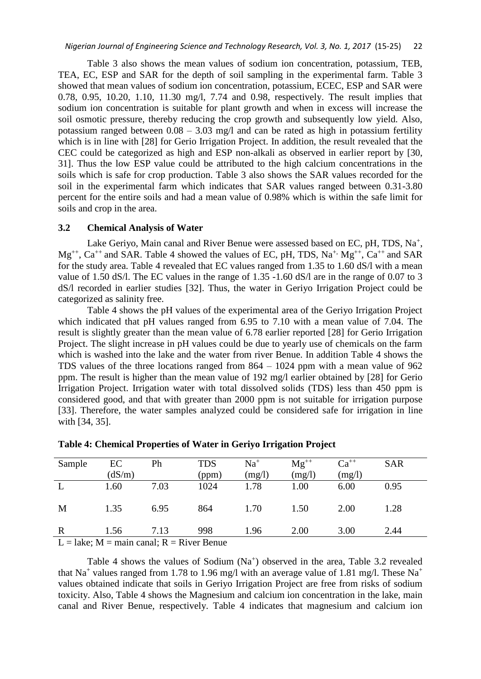Table 3 also shows the mean values of sodium ion concentration, potassium, TEB, TEA, EC, ESP and SAR for the depth of soil sampling in the experimental farm. Table 3 showed that mean values of sodium ion concentration, potassium, ECEC, ESP and SAR were 0.78, 0.95, 10.20, 1.10, 11.30 mg/l, 7.74 and 0.98, respectively. The result implies that sodium ion concentration is suitable for plant growth and when in excess will increase the soil osmotic pressure, thereby reducing the crop growth and subsequently low yield. Also, potassium ranged between  $0.08 - 3.03$  mg/l and can be rated as high in potassium fertility which is in line with [28] for Gerio Irrigation Project. In addition, the result revealed that the CEC could be categorized as high and ESP non-alkali as observed in earlier report by [30, 31]. Thus the low ESP value could be attributed to the high calcium concentrations in the soils which is safe for crop production. Table 3 also shows the SAR values recorded for the soil in the experimental farm which indicates that SAR values ranged between 0.31-3.80 percent for the entire soils and had a mean value of 0.98% which is within the safe limit for soils and crop in the area.

### **3.2 Chemical Analysis of Water**

Lake Geriyo, Main canal and River Benue were assessed based on EC, pH, TDS,  $Na^{+}$ ,  $Mg^{++}$ ,  $Ca^{++}$  and SAR. Table 4 showed the values of EC, pH, TDS,  $Na^{+}$ ,  $Mg^{++}$ ,  $Ca^{++}$  and SAR for the study area. Table 4 revealed that EC values ranged from 1.35 to 1.60 dS/l with a mean value of 1.50 dS/l. The EC values in the range of 1.35 -1.60 dS/l are in the range of 0.07 to 3 dS/l recorded in earlier studies [32]. Thus, the water in Geriyo Irrigation Project could be categorized as salinity free.

Table 4 shows the pH values of the experimental area of the Geriyo Irrigation Project which indicated that pH values ranged from 6.95 to 7.10 with a mean value of 7.04. The result is slightly greater than the mean value of 6.78 earlier reported [28] for Gerio Irrigation Project. The slight increase in pH values could be due to yearly use of chemicals on the farm which is washed into the lake and the water from river Benue. In addition Table 4 shows the TDS values of the three locations ranged from 864 – 1024 ppm with a mean value of 962 ppm. The result is higher than the mean value of 192 mg/l earlier obtained by [28] for Gerio Irrigation Project. Irrigation water with total dissolved solids (TDS) less than 450 ppm is considered good, and that with greater than 2000 ppm is not suitable for irrigation purpose [33]. Therefore, the water samples analyzed could be considered safe for irrigation in line with [34, 35].

| Sample            | EC           | Ph               | <b>TDS</b>               | $Na+$  | $Mg^{++}$ | $Ca^{++}$ | <b>SAR</b> |
|-------------------|--------------|------------------|--------------------------|--------|-----------|-----------|------------|
|                   | (dS/m)       |                  | (ppm)                    | (mg/l) | (mg/l)    | (mg/l)    |            |
|                   | 1.60         | 7.03             | 1024                     | 1.78   | 1.00      | 6.00      | 0.95       |
|                   |              |                  |                          |        |           |           |            |
| M                 | 1.35         | 6.95             | 864                      | 1.70   | 1.50      | 2.00      | 1.28       |
|                   |              |                  |                          |        |           |           |            |
| $\mathbf R$       | 1.56         | 7.13             | 998                      | 1.96   | 2.00      | 3.00      | 2.44       |
| .<br>$\mathbf{r}$ | $\mathbf{r}$ | $\sim$<br>$\sim$ | $\overline{\phantom{a}}$ |        |           |           |            |

**Table 4: Chemical Properties of Water in Geriyo Irrigation Project**

 $L =$  lake;  $M =$  main canal;  $R =$  River Benue

Table 4 shows the values of Sodium  $(Na^+)$  observed in the area, Table 3.2 revealed that Na<sup>+</sup> values ranged from 1.78 to 1.96 mg/l with an average value of 1.81 mg/l. These Na<sup>+</sup> values obtained indicate that soils in Geriyo Irrigation Project are free from risks of sodium toxicity. Also, Table 4 shows the Magnesium and calcium ion concentration in the lake, main canal and River Benue, respectively. Table 4 indicates that magnesium and calcium ion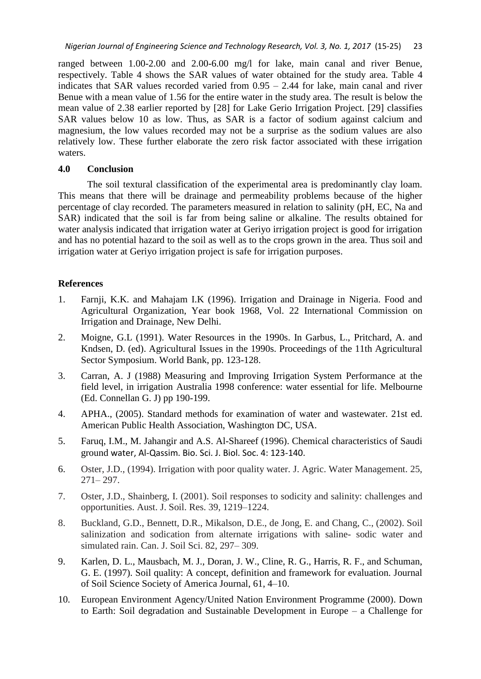ranged between 1.00-2.00 and 2.00-6.00 mg/l for lake, main canal and river Benue, respectively. Table 4 shows the SAR values of water obtained for the study area. Table 4 indicates that SAR values recorded varied from  $0.95 - 2.44$  for lake, main canal and river Benue with a mean value of 1.56 for the entire water in the study area. The result is below the mean value of 2.38 earlier reported by [28] for Lake Gerio Irrigation Project. [29] classifies SAR values below 10 as low. Thus, as SAR is a factor of sodium against calcium and magnesium, the low values recorded may not be a surprise as the sodium values are also relatively low. These further elaborate the zero risk factor associated with these irrigation waters.

# **4.0 Conclusion**

The soil textural classification of the experimental area is predominantly clay loam. This means that there will be drainage and permeability problems because of the higher percentage of clay recorded. The parameters measured in relation to salinity (pH, EC, Na and SAR) indicated that the soil is far from being saline or alkaline. The results obtained for water analysis indicated that irrigation water at Geriyo irrigation project is good for irrigation and has no potential hazard to the soil as well as to the crops grown in the area. Thus soil and irrigation water at Geriyo irrigation project is safe for irrigation purposes.

# **References**

- 1. Farnji, K.K. and Mahajam I.K (1996). Irrigation and Drainage in Nigeria. Food and Agricultural Organization, Year book 1968, Vol. 22 International Commission on Irrigation and Drainage, New Delhi.
- 2. Moigne, G.L (1991). Water Resources in the 1990s. In Garbus, L., Pritchard, A. and Kndsen, D. (ed). Agricultural Issues in the 1990s. Proceedings of the 11th Agricultural Sector Symposium. World Bank, pp. 123-128.
- 3. Carran, A. J (1988) Measuring and Improving Irrigation System Performance at the field level, in irrigation Australia 1998 conference: water essential for life. Melbourne (Ed. Connellan G. J) pp 190-199.
- 4. APHA., (2005). Standard methods for examination of water and wastewater. 21st ed. American Public Health Association, Washington DC, USA.
- 5. Faruq, I.M., M. Jahangir and A.S. Al-Shareef (1996). Chemical characteristics of Saudi ground water, Al-Qassim. Bio. Sci. J. Biol. Soc. 4: 123-140.
- 6. Oster, J.D., (1994). Irrigation with poor quality water. J. Agric. Water Management. 25, 271– 297.
- 7. Oster, J.D., Shainberg, I. (2001). Soil responses to sodicity and salinity: challenges and opportunities. Aust. J. Soil. Res. 39, 1219–1224.
- 8. Buckland, G.D., Bennett, D.R., Mikalson, D.E., de Jong, E. and Chang, C., (2002). Soil salinization and sodication from alternate irrigations with saline- sodic water and simulated rain. Can. J. Soil Sci. 82, 297– 309.
- 9. Karlen, D. L., Mausbach, M. J., Doran, J. W., Cline, R. G., Harris, R. F., and Schuman, G. E. (1997). Soil quality: A concept, definition and framework for evaluation. Journal of Soil Science Society of America Journal, 61, 4–10.
- 10. European Environment Agency/United Nation Environment Programme (2000). Down to Earth: Soil degradation and Sustainable Development in Europe – a Challenge for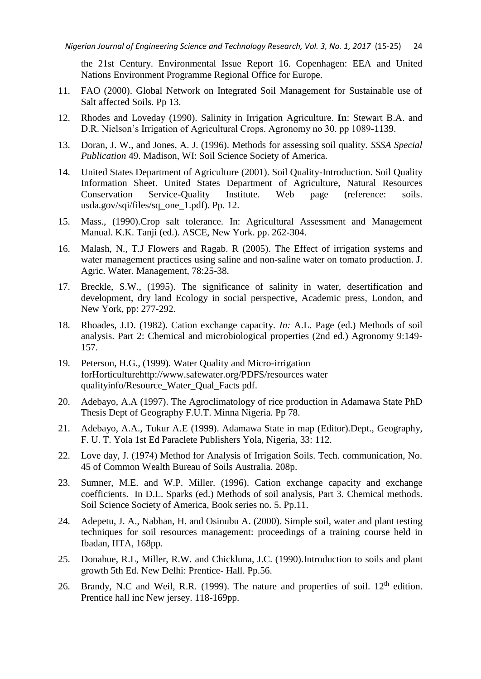the 21st Century. Environmental Issue Report 16. Copenhagen: EEA and United Nations Environment Programme Regional Office for Europe.

- 11. FAO (2000). Global Network on Integrated Soil Management for Sustainable use of Salt affected Soils. Pp 13.
- 12. Rhodes and Loveday (1990). Salinity in Irrigation Agriculture. **In**: Stewart B.A. and D.R. Nielson's Irrigation of Agricultural Crops. Agronomy no 30. pp 1089-1139.
- 13. Doran, J. W., and Jones, A. J. (1996). Methods for assessing soil quality. *SSSA Special Publication* 49. Madison, WI: Soil Science Society of America.
- 14. United States Department of Agriculture (2001). Soil Quality-Introduction. Soil Quality Information Sheet. United States Department of Agriculture, Natural Resources Conservation Service-Quality Institute. Web page (reference: soils. usda.gov/sqi/files/sq\_one\_1.pdf). Pp. 12.
- 15. Mass., (1990).Crop salt tolerance. In: Agricultural Assessment and Management Manual. K.K. Tanji (ed.). ASCE, New York. pp. 262-304.
- 16. Malash, N., T.J Flowers and Ragab. R (2005). The Effect of irrigation systems and water management practices using saline and non-saline water on tomato production. J. Agric. Water. Management, 78:25-38.
- 17. Breckle, S.W., (1995). The significance of salinity in water, desertification and development, dry land Ecology in social perspective, Academic press, London, and New York, pp: 277-292.
- 18. Rhoades, J.D. (1982). Cation exchange capacity. *In:* A.L. Page (ed.) Methods of soil analysis. Part 2: Chemical and microbiological properties (2nd ed.) Agronomy 9:149- 157.
- 19. Peterson, H.G., (1999). Water Quality and Micro-irrigation forHorticulturehttp://www.safewater.org/PDFS/resources water qualityinfo/Resource\_Water\_Qual\_Facts pdf.
- 20. Adebayo, A.A (1997). The Agroclimatology of rice production in Adamawa State PhD Thesis Dept of Geography F.U.T. Minna Nigeria. Pp 78.
- 21. Adebayo, A.A., Tukur A.E (1999). Adamawa State in map (Editor).Dept., Geography, F. U. T. Yola 1st Ed Paraclete Publishers Yola, Nigeria, 33: 112.
- 22. Love day, J. (1974) Method for Analysis of Irrigation Soils. Tech. communication, No. 45 of Common Wealth Bureau of Soils Australia. 208p.
- 23. Sumner, M.E. and W.P. Miller. (1996). Cation exchange capacity and exchange coefficients. In D.L. Sparks (ed.) Methods of soil analysis, Part 3. Chemical methods. Soil Science Society of America, Book series no. 5. Pp.11.
- 24. Adepetu, J. A., Nabhan, H. and Osinubu A. (2000). Simple soil, water and plant testing techniques for soil resources management: proceedings of a training course held in Ibadan, IITA, 168pp.
- 25. Donahue, R.L, Miller, R.W. and Chickluna, J.C. (1990).Introduction to soils and plant growth 5th Ed. New Delhi: Prentice- Hall. Pp.56.
- 26. Brandy, N.C and Weil, R.R. (1999). The nature and properties of soil.  $12<sup>th</sup>$  edition. Prentice hall inc New jersey. 118-169pp.